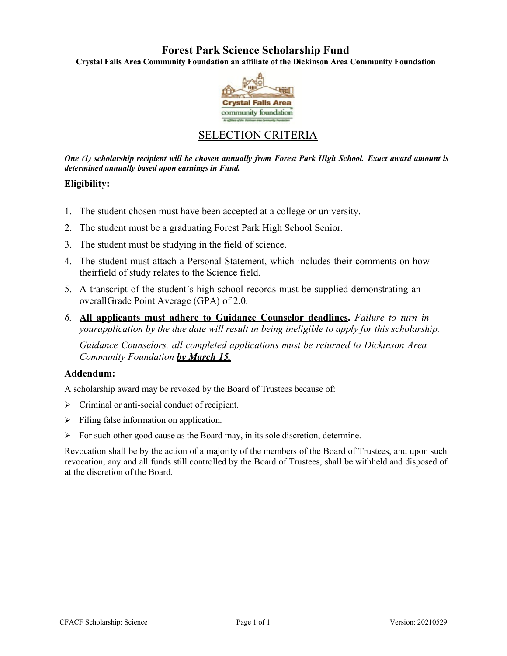# **Forest Park Science Scholarship Fund**

**Crystal Falls Area Community Foundation an affiliate of the Dickinson Area Community Foundation**



# SELECTION CRITERIA

*One (1) scholarship recipient will be chosen annually from Forest Park High School. Exact award amount is determined annually based upon earnings in Fund.*

## **Eligibility:**

- 1. The student chosen must have been accepted at a college or university.
- 2. The student must be a graduating Forest Park High School Senior.
- 3. The student must be studying in the field of science.
- 4. The student must attach a Personal Statement, which includes their comments on how theirfield of study relates to the Science field.
- 5. A transcript of the student's high school records must be supplied demonstrating an overallGrade Point Average (GPA) of 2.0.
- *6.* **All applicants must adhere to Guidance Counselor deadlines.** *Failure to turn in yourapplication by the due date will result in being ineligible to apply for this scholarship.*

*Guidance Counselors, all completed applications must be returned to Dickinson Area Community Foundation by March 15.*

## **Addendum:**

A scholarship award may be revoked by the Board of Trustees because of:

- $\triangleright$  Criminal or anti-social conduct of recipient.
- $\triangleright$  Filing false information on application.
- $\triangleright$  For such other good cause as the Board may, in its sole discretion, determine.

Revocation shall be by the action of a majority of the members of the Board of Trustees, and upon such revocation, any and all funds still controlled by the Board of Trustees, shall be withheld and disposed of at the discretion of the Board.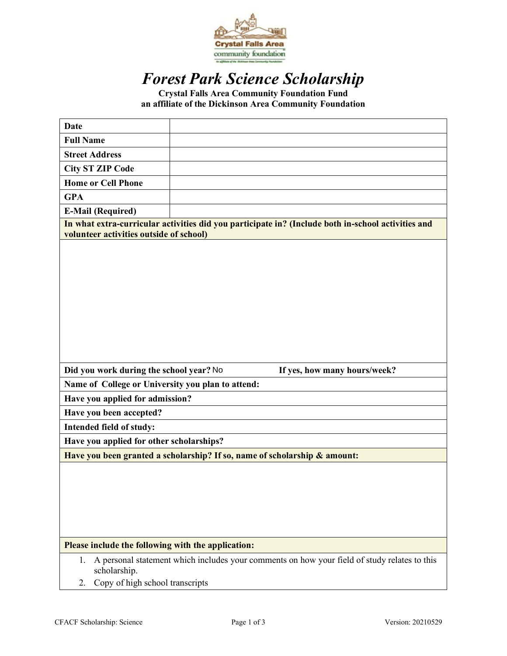

# *Forest Park Science Scholarship*

**Crystal Falls Area Community Foundation Fund an affiliate of the Dickinson Area Community Foundation** 

| <b>Date</b>                                                                                                                                                 |                              |
|-------------------------------------------------------------------------------------------------------------------------------------------------------------|------------------------------|
| <b>Full Name</b>                                                                                                                                            |                              |
| <b>Street Address</b>                                                                                                                                       |                              |
| <b>City ST ZIP Code</b>                                                                                                                                     |                              |
| <b>Home or Cell Phone</b>                                                                                                                                   |                              |
| <b>GPA</b>                                                                                                                                                  |                              |
| <b>E-Mail (Required)</b>                                                                                                                                    |                              |
| In what extra-curricular activities did you participate in? (Include both in-school activities and<br>volunteer activities outside of school)               |                              |
|                                                                                                                                                             |                              |
| Did you work during the school year? No                                                                                                                     | If yes, how many hours/week? |
| Name of College or University you plan to attend:                                                                                                           |                              |
| Have you applied for admission?                                                                                                                             |                              |
| Have you been accepted?                                                                                                                                     |                              |
| Intended field of study:                                                                                                                                    |                              |
| Have you applied for other scholarships?                                                                                                                    |                              |
| Have you been granted a scholarship? If so, name of scholarship & amount:                                                                                   |                              |
|                                                                                                                                                             |                              |
| Please include the following with the application:                                                                                                          |                              |
| A personal statement which includes your comments on how your field of study relates to this<br>1.<br>scholarship.<br>Copy of high school transcripts<br>2. |                              |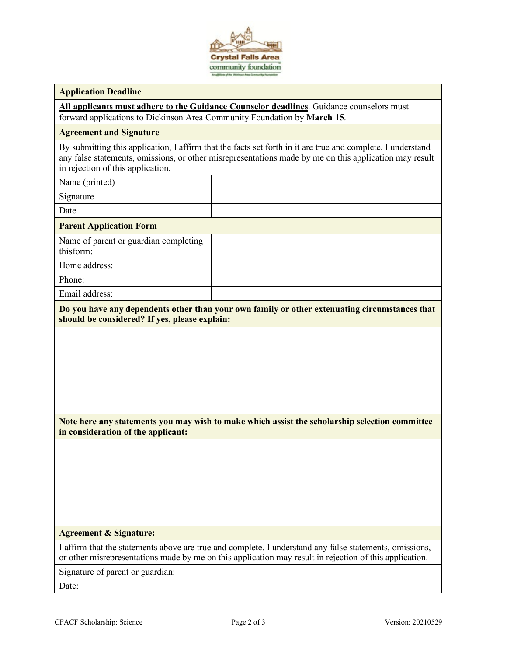

### **Application Deadline**

**All applicants must adhere to the Guidance Counselor deadlines**. Guidance counselors must forward applications to Dickinson Area Community Foundation by **March 15**.

### **Agreement and Signature**

By submitting this application, I affirm that the facts set forth in it are true and complete. I understand any false statements, omissions, or other misrepresentations made by me on this application may result in rejection of this application.

Name (printed)

Signature

Date

**Parent Application Form**

Name of parent or guardian completing thisform:

Home address:

Phone:

Email address:

**Do you have any dependents other than your own family or other extenuating circumstances that should be considered? If yes, please explain:**

**Note here any statements you may wish to make which assist the scholarship selection committee in consideration of the applicant:**

### **Agreement & Signature:**

I affirm that the statements above are true and complete. I understand any false statements, omissions, or other misrepresentations made by me on this application may result in rejection of this application.

Signature of parent or guardian:

Date: